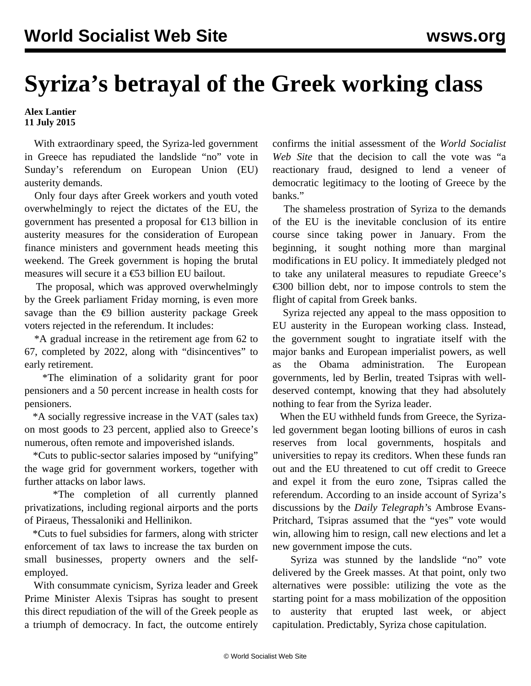## **Syriza's betrayal of the Greek working class**

## **Alex Lantier 11 July 2015**

 With extraordinary speed, the Syriza-led government in Greece has repudiated the landslide "no" vote in Sunday's referendum on European Union (EU) austerity demands.

 Only four days after Greek workers and youth voted overwhelmingly to reject the dictates of the EU, the government has presented a proposal for €13 billion in austerity measures for the consideration of European finance ministers and government heads meeting this weekend. The Greek government is hoping the brutal measures will secure it a €53 billion EU bailout.

 The proposal, which was approved overwhelmingly by the Greek parliament Friday morning, is even more savage than the  $\epsilon$ 9 billion austerity package Greek voters rejected in the referendum. It includes:

 \*A gradual increase in the retirement age from 62 to 67, completed by 2022, along with "disincentives" to early retirement.

 \*The elimination of a solidarity grant for poor pensioners and a 50 percent increase in health costs for pensioners.

 \*A socially regressive increase in the VAT (sales tax) on most goods to 23 percent, applied also to Greece's numerous, often remote and impoverished islands.

 \*Cuts to public-sector salaries imposed by "unifying" the wage grid for government workers, together with further attacks on labor laws.

 \*The completion of all currently planned privatizations, including regional airports and the ports of Piraeus, Thessaloniki and Hellinikon.

 \*Cuts to fuel subsidies for farmers, along with stricter enforcement of tax laws to increase the tax burden on small businesses, property owners and the selfemployed.

 With consummate cynicism, Syriza leader and Greek Prime Minister Alexis Tsipras has sought to present this direct repudiation of the will of the Greek people as a triumph of democracy. In fact, the outcome entirely confirms the initial [assessment](/en/articles/2015/06/27/gree-j27.html) of the *World Socialist Web Site* that the decision to call the vote was "a reactionary fraud, designed to lend a veneer of democratic legitimacy to the looting of Greece by the banks."

 The shameless prostration of Syriza to the demands of the EU is the inevitable conclusion of its entire course since taking power in January. From the beginning, it sought nothing more than marginal modifications in EU policy. It immediately pledged not to take any unilateral measures to repudiate Greece's  $\epsilon$ 300 billion debt, nor to impose controls to stem the flight of capital from Greek banks.

 Syriza rejected any appeal to the mass opposition to EU austerity in the European working class. Instead, the government sought to ingratiate itself with the major banks and European imperialist powers, as well as the Obama administration. The European governments, led by Berlin, treated Tsipras with welldeserved contempt, knowing that they had absolutely nothing to fear from the Syriza leader.

 When the EU withheld funds from Greece, the Syrizaled government began looting billions of euros in cash reserves from local governments, hospitals and universities to repay its creditors. When these funds ran out and the EU threatened to cut off credit to Greece and expel it from the euro zone, Tsipras called the referendum. According to an inside account of Syriza's discussions by the *Daily Telegraph'*s Ambrose Evans-Pritchard, Tsipras assumed that the "yes" vote would win, allowing him to resign, call new elections and let a new government impose the cuts.

 Syriza was stunned by the landslide "no" vote delivered by the Greek masses. At that point, only two alternatives were possible: utilizing the vote as the starting point for a mass mobilization of the opposition to austerity that erupted last week, or abject capitulation. Predictably, Syriza chose capitulation.